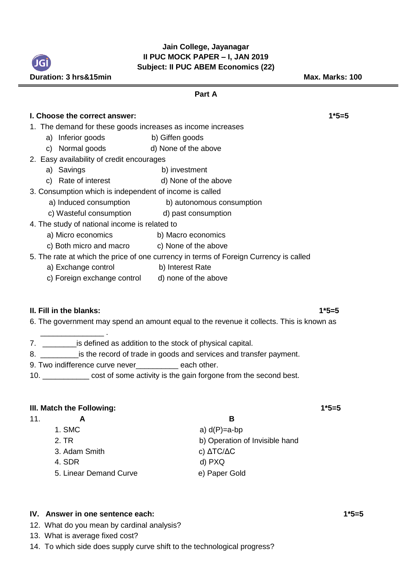**Jain College, Jayanagar II PUC MOCK PAPER – I, JAN 2019 Subject: II PUC ABEM Economics (22)**

| Duration: 3 hrs&15min                                       |                                                                                       | Max. Marks: 100 |
|-------------------------------------------------------------|---------------------------------------------------------------------------------------|-----------------|
|                                                             | Part A                                                                                |                 |
| I. Choose the correct answer:                               |                                                                                       | $1*5=5$         |
| 1. The demand for these goods increases as income increases |                                                                                       |                 |
| a) Inferior goods                                           | b) Giffen goods                                                                       |                 |
| c) Normal goods d) None of the above                        |                                                                                       |                 |
| 2. Easy availability of credit encourages                   |                                                                                       |                 |
| a) Savings                                                  | b) investment                                                                         |                 |
| c) Rate of interest                                         | d) None of the above                                                                  |                 |
| 3. Consumption which is independent of income is called     |                                                                                       |                 |
|                                                             | a) Induced consumption b) autonomous consumption                                      |                 |
| c) Wasteful consumption d) past consumption                 |                                                                                       |                 |
| 4. The study of national income is related to               |                                                                                       |                 |
| a) Micro economics                                          | b) Macro economics                                                                    |                 |
| c) Both micro and macro c) None of the above                |                                                                                       |                 |
|                                                             | 5. The rate at which the price of one currency in terms of Foreign Currency is called |                 |
| a) Exchange control                                         | b) Interest Rate                                                                      |                 |
| c) Foreign exchange control d) none of the above            |                                                                                       |                 |
|                                                             |                                                                                       |                 |
|                                                             |                                                                                       |                 |

## **II. Fill in the blanks:** 1\*5=5

\_\_\_\_\_\_\_\_\_\_\_\_\_\_\_ .

6. The government may spend an amount equal to the revenue it collects. This is known as

- 7. \_\_\_\_\_\_\_\_is defined as addition to the stock of physical capital.
- 8. \_\_\_\_\_\_\_\_\_\_\_\_is the record of trade in goods and services and transfer payment.
- 9. Two indifference curve never\_\_\_\_\_\_\_\_\_\_ each other.
- 10. \_\_\_\_\_\_\_\_\_\_\_ cost of some activity is the gain forgone from the second best.

# **III.** Match the Following: 1\*5=5

11. **A B**

JGI

- 1. SMC  $a) d(P)=a-bp$
- 
- 3. Adam Smith c) ΔTC/ΔC
- 
- 5. Linear Demand Curve **e**) Paper Gold

2. TR b) Operation of Invisible hand 4. SDR d) PXQ

## **IV. Answer in one sentence each: 1\*5=5**

- 12. What do you mean by cardinal analysis?
- 13. What is average fixed cost?
- 14. To which side does supply curve shift to the technological progress?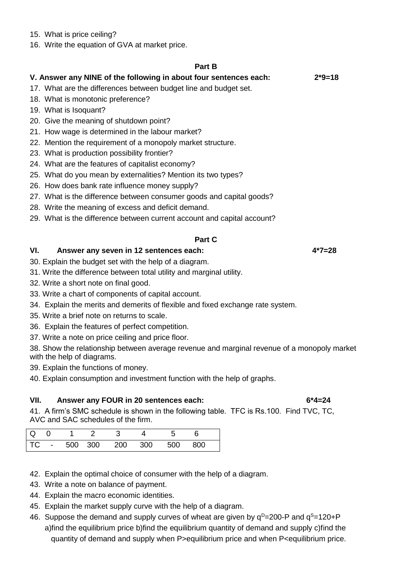- 15. What is price ceiling?
- 16. Write the equation of GVA at market price.

#### **Part B**

## **V. Answer any NINE of the following in about four sentences each: 2\*9=18**

- 17. What are the differences between budget line and budget set.
- 18. What is monotonic preference?
- 19. What is Isoquant?
- 20. Give the meaning of shutdown point?
- 21. How wage is determined in the labour market?
- 22. Mention the requirement of a monopoly market structure.
- 23. What is production possibility frontier?
- 24. What are the features of capitalist economy?
- 25. What do you mean by externalities? Mention its two types?
- 26. How does bank rate influence money supply?
- 27. What is the difference between consumer goods and capital goods?
- 28. Write the meaning of excess and deficit demand.
- 29. What is the difference between current account and capital account?

# **Part C**

## **VI. Answer any seven in 12 sentences each: 4\*7=28**

- 30. Explain the budget set with the help of a diagram.
- 31. Write the difference between total utility and marginal utility.
- 32. Write a short note on final good.
- 33. Write a chart of components of capital account.
- 34. Explain the merits and demerits of flexible and fixed exchange rate system.
- 35. Write a brief note on returns to scale.
- 36. Explain the features of perfect competition.
- 37. Write a note on price ceiling and price floor.

38. Show the relationship between average revenue and marginal revenue of a monopoly market with the help of diagrams.

39. Explain the functions of money.

40. Explain consumption and investment function with the help of graphs.

## **VII. Answer any FOUR in 20 sentences each: 6\*4=24**

41. A firm's SMC schedule is shown in the following table. TFC is Rs.100. Find TVC, TC, AVC and SAC schedules of the firm.

|  |  | Q 0 1 2 3 4 5 6              |  |  |
|--|--|------------------------------|--|--|
|  |  | TC - 500 300 200 300 500 800 |  |  |

- 42. Explain the optimal choice of consumer with the help of a diagram.
- 43. Write a note on balance of payment.
- 44.Explain the macro economic identities.
- 45. Explain the market supply curve with the help of a diagram.
- 46. Suppose the demand and supply curves of wheat are given by  $q^D=200$ -P and  $q^S=120+P$  a)find the equilibrium price b)find the equilibrium quantity of demand and supply c)find the quantity of demand and supply when P>equilibrium price and when P<equilibrium price.